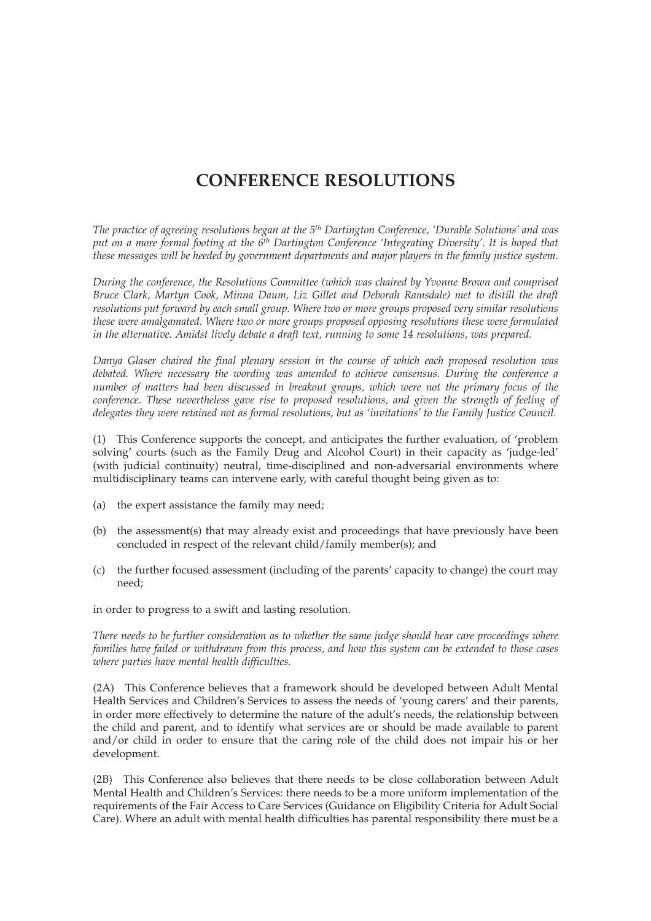## **CONFERENCE RESOLUTIONS**

*The practice of agreeing resolutions began at the 5th Dartington Conference, 'Durable Solutions' and was put on a more formal footing at the 6th Dartington Conference 'Integrating Diversity'. It is hoped that these messages will be heeded by government departments and major players in the family justice system.*

*During the conference, the Resolutions Committee (which was chaired by Yvonne Brown and comprised Bruce Clark, Martyn Cook, Minna Daum, Liz Gillet and Deborah Ramsdale) met to distill the draft resolutions put forward by each small group. Where two or more groups proposed very similar resolutions these were amalgamated. Where two or more groups proposed opposing resolutions these were formulated in the alternative. Amidst lively debate a draft text, running to some 14 resolutions, was prepared.*

*Danya Glaser chaired the final plenary session in the course of which each proposed resolution was debated. Where necessary the wording was amended to achieve consensus. During the conference a number of matters had been discussed in breakout groups, which were not the primary focus of the conference. These nevertheless gave rise to proposed resolutions, and given the strength of feeling of delegates they were retained not as formal resolutions, but as 'invitations' to the Family Justice Council.*

(1) This Conference supports the concept, and anticipates the further evaluation, of 'problem solving' courts (such as the Family Drug and Alcohol Court) in their capacity as 'judge-led' (with judicial continuity) neutral, time-disciplined and non-adversarial environments where multidisciplinary teams can intervene early, with careful thought being given as to:

- (a) the expert assistance the family may need;
- (b) the assessment(s) that may already exist and proceedings that have previously have been concluded in respect of the relevant child/family member(s); and
- (c) the further focused assessment (including of the parents' capacity to change) the court may need;

in order to progress to a swift and lasting resolution.

*There needs to be further consideration as to whether the same judge should hear care proceedings where families have failed or withdrawn from this process, and how this system can be extended to those cases where parties have mental health difficulties.*

(2A) This Conference believes that a framework should be developed between Adult Mental Health Services and Children's Services to assess the needs of 'young carers' and their parents, in order more effectively to determine the nature of the adult's needs, the relationship between the child and parent, and to identify what services are or should be made available to parent and/or child in order to ensure that the caring role of the child does not impair his or her development.

(2B) This Conference also believes that there needs to be close collaboration between Adult Mental Health and Children's Services: there needs to be a more uniform implementation of the requirements of the Fair Access to Care Services (Guidance on Eligibility Criteria for Adult Social Care). Where an adult with mental health difficulties has parental responsibility there must be a